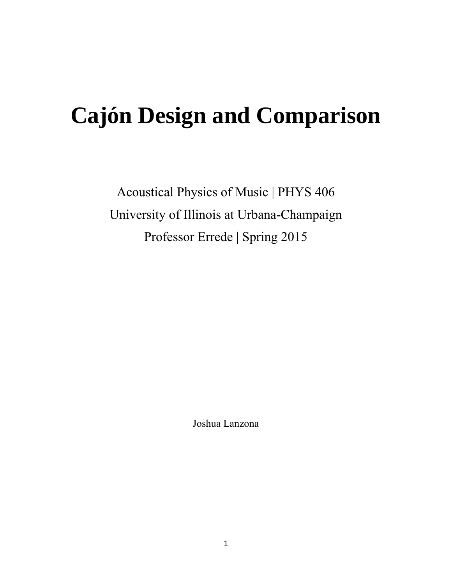# **Cajón Design and Comparison**

Acoustical Physics of Music | PHYS 406 University of Illinois at Urbana-Champaign Professor Errede | Spring 2015

Joshua Lanzona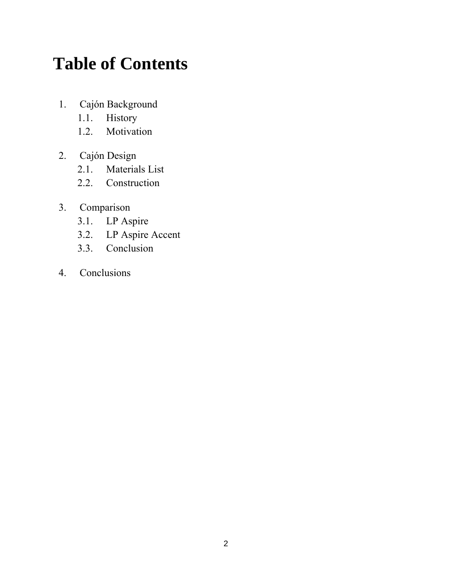# **Table of Contents**

- 1. Cajón Background
	- 1.1. History
	- 1.2. Motivation
- 2. Cajón Design
	- 2.1. Materials List
	- 2.2. Construction

### 3. Comparison

- 3.1. LP Aspire
- 3.2. LP Aspire Accent
- 3.3. Conclusion
- 4. Conclusions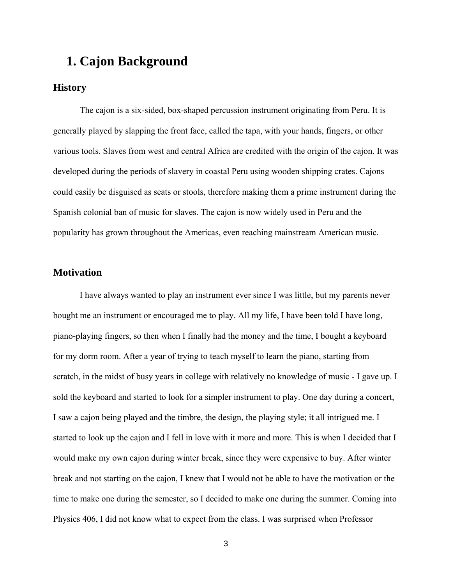## **1. Cajon Background**

#### **History**

The cajon is a six-sided, box-shaped percussion instrument originating from Peru. It is generally played by slapping the front face, called the tapa, with your hands, fingers, or other various tools. Slaves from west and central Africa are credited with the origin of the cajon. It was developed during the periods of slavery in coastal Peru using wooden shipping crates. Cajons could easily be disguised as seats or stools, therefore making them a prime instrument during the Spanish colonial ban of music for slaves. The cajon is now widely used in Peru and the popularity has grown throughout the Americas, even reaching mainstream American music.

#### **Motivation**

 I have always wanted to play an instrument ever since I was little, but my parents never bought me an instrument or encouraged me to play. All my life, I have been told I have long, piano-playing fingers, so then when I finally had the money and the time, I bought a keyboard for my dorm room. After a year of trying to teach myself to learn the piano, starting from scratch, in the midst of busy years in college with relatively no knowledge of music - I gave up. I sold the keyboard and started to look for a simpler instrument to play. One day during a concert, I saw a cajon being played and the timbre, the design, the playing style; it all intrigued me. I started to look up the cajon and I fell in love with it more and more. This is when I decided that I would make my own cajon during winter break, since they were expensive to buy. After winter break and not starting on the cajon, I knew that I would not be able to have the motivation or the time to make one during the semester, so I decided to make one during the summer. Coming into Physics 406, I did not know what to expect from the class. I was surprised when Professor

3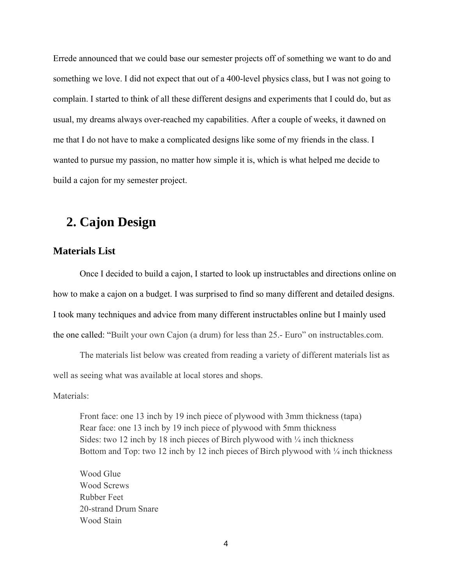Errede announced that we could base our semester projects off of something we want to do and something we love. I did not expect that out of a 400-level physics class, but I was not going to complain. I started to think of all these different designs and experiments that I could do, but as usual, my dreams always over-reached my capabilities. After a couple of weeks, it dawned on me that I do not have to make a complicated designs like some of my friends in the class. I wanted to pursue my passion, no matter how simple it is, which is what helped me decide to build a cajon for my semester project.

# **2. Cajon Design**

#### **Materials List**

 Once I decided to build a cajon, I started to look up instructables and directions online on how to make a cajon on a budget. I was surprised to find so many different and detailed designs. I took many techniques and advice from many different instructables online but I mainly used the one called: "Built your own Cajon (a drum) for less than 25.- Euro" on instructables.com.

 The materials list below was created from reading a variety of different materials list as well as seeing what was available at local stores and shops.

Materials<sup>.</sup>

Front face: one 13 inch by 19 inch piece of plywood with 3mm thickness (tapa) Rear face: one 13 inch by 19 inch piece of plywood with 5mm thickness Sides: two 12 inch by 18 inch pieces of Birch plywood with  $\frac{1}{4}$  inch thickness Bottom and Top: two 12 inch by 12 inch pieces of Birch plywood with  $\frac{1}{4}$  inch thickness

Wood Glue Wood Screws Rubber Feet 20-strand Drum Snare Wood Stain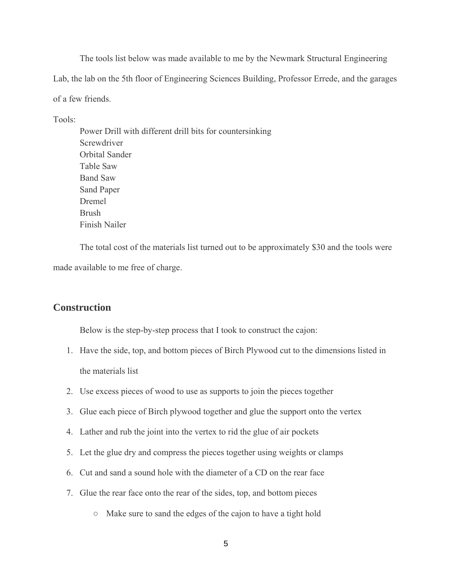The tools list below was made available to me by the Newmark Structural Engineering Lab, the lab on the 5th floor of Engineering Sciences Building, Professor Errede, and the garages of a few friends.

Tools:

Power Drill with different drill bits for countersinking **Screwdriver** Orbital Sander Table Saw Band Saw Sand Paper Dremel Brush Finish Nailer

 The total cost of the materials list turned out to be approximately \$30 and the tools were made available to me free of charge.

#### **Construction**

Below is the step-by-step process that I took to construct the cajon:

- 1. Have the side, top, and bottom pieces of Birch Plywood cut to the dimensions listed in the materials list
- 2. Use excess pieces of wood to use as supports to join the pieces together
- 3. Glue each piece of Birch plywood together and glue the support onto the vertex
- 4. Lather and rub the joint into the vertex to rid the glue of air pockets
- 5. Let the glue dry and compress the pieces together using weights or clamps
- 6. Cut and sand a sound hole with the diameter of a CD on the rear face
- 7. Glue the rear face onto the rear of the sides, top, and bottom pieces
	- Make sure to sand the edges of the cajon to have a tight hold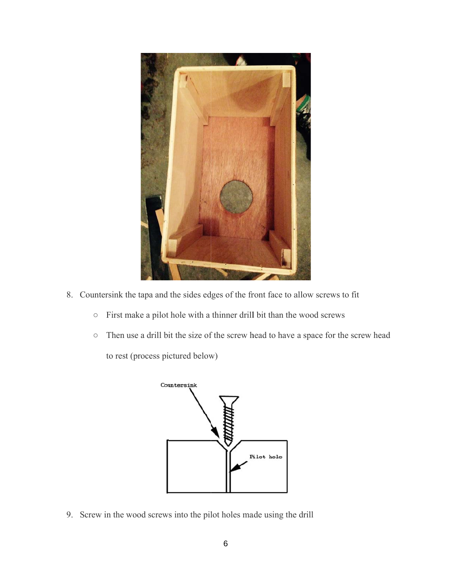

- 8. Countersink the tapa and the sides edges of the front face to allow screws to fit
	- $\circ$  First make a pilot hole with a thinner drill bit than the wood screws
	- o Then use a drill bit the size of the screw head to have a space for the screw head to rest (process pictured below)



9. Screw in the wood screws into the pilot holes made using the drill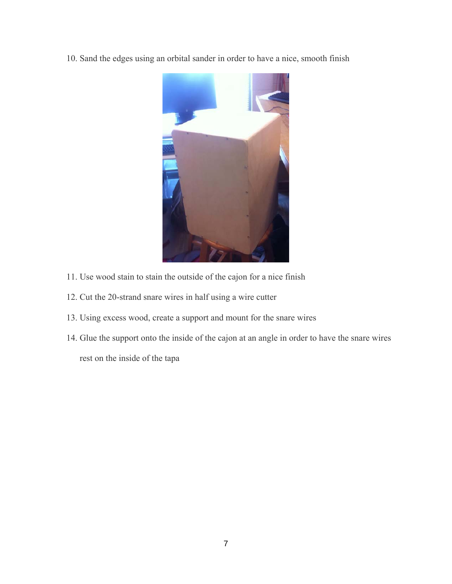10. Sand the edges using an orbital sander in order to have a nice, smooth finish



- 11. Use wood stain to stain the outside of the cajon for a nice finish
- 12. Cut the 20-strand snare wires in half using a wire cutter
- 13. Using excess wood, create a support and mount for the snare wires
- 14. Glue the support onto the inside of the cajon at an angle in order to have the snare wires rest on the inside of the tapa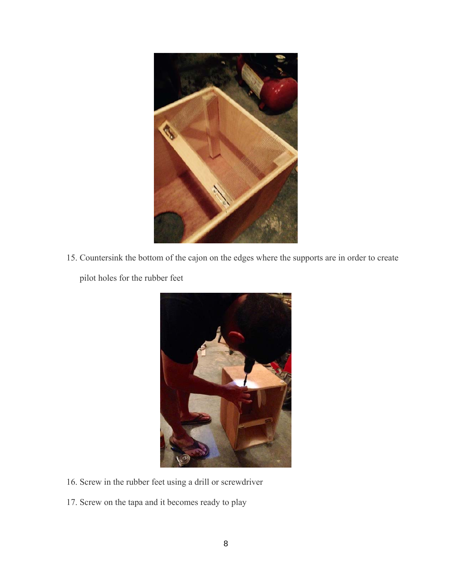

15. Countersink the bottom of the cajon on the edges where the supports are in order to create pilot holes for the rubber feet



- 16. Screw in the rubber feet using a drill or screwdriver
- 17. Screw on the tapa and it becomes ready to play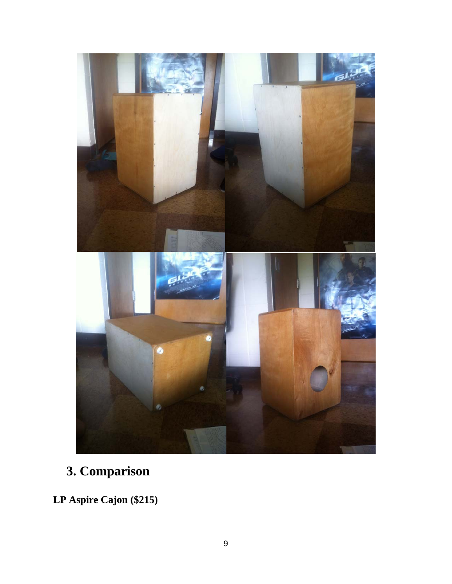

# **3. Comparison**

**LP Aspire Cajon (\$215)**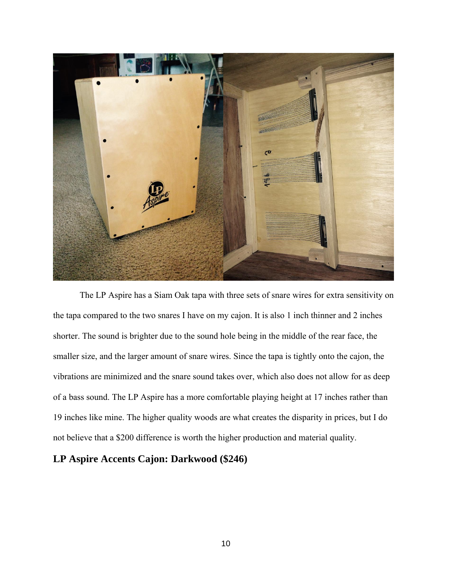

 The LP Aspire has a Siam Oak tapa with three sets of snare wires for extra sensitivity on the tapa compared to the two snares I have on my cajon. It is also 1 inch thinner and 2 inches shorter. The sound is brighter due to the sound hole being in the middle of the rear face, the smaller size, and the larger amount of snare wires. Since the tapa is tightly onto the cajon, the vibrations are minimized and the snare sound takes over, which also does not allow for as deep of a bass sound. The LP Aspire has a more comfortable playing height at 17 inches rather than 19 inches like mine. The higher quality woods are what creates the disparity in prices, but I do not believe that a \$200 difference is worth the higher production and material quality.

#### **LP Aspire Accents Cajon: Darkwood (\$246)**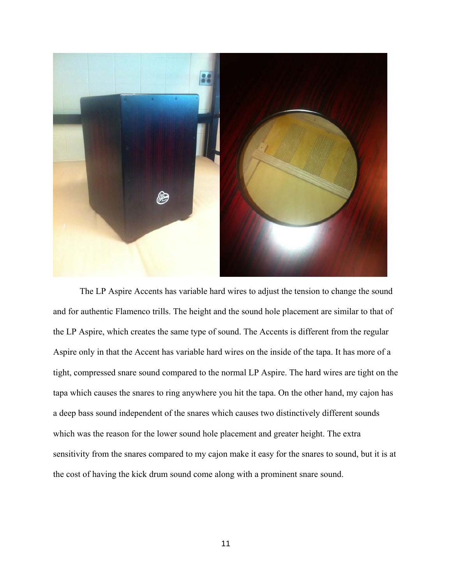

The LP Aspire Accents has variable hard wires to adjust the tension to change the sound and for authentic Flamenco trills. The height and the sound hole placement are similar to that of the LP Aspire, which creates the same type of sound. The Accents is different from the regular Aspire only in that the Accent has variable hard wires on the inside of the tapa. It has more of a tight, compressed snare sound compared to the normal LP Aspire. The hard wires are tight on the tapa which causes the snares to ring anywhere you hit the tapa. On the other hand, my cajon has a deep bass sound independent of the snares which causes two distinctively different sounds which was the reason for the lower sound hole placement and greater height. The extra sensitivity from the snares compared to my cajon make it easy for the snares to sound, but it is at the cost of having the kick drum sound come along with a prominent snare sound.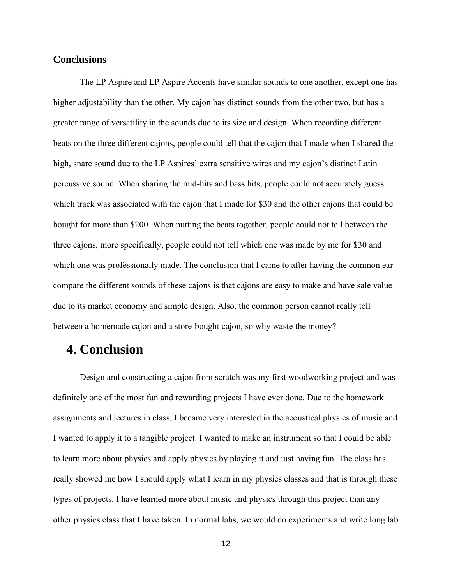#### **Conclusions**

 The LP Aspire and LP Aspire Accents have similar sounds to one another, except one has higher adjustability than the other. My cajon has distinct sounds from the other two, but has a greater range of versatility in the sounds due to its size and design. When recording different beats on the three different cajons, people could tell that the cajon that I made when I shared the high, snare sound due to the LP Aspires' extra sensitive wires and my cajon's distinct Latin percussive sound. When sharing the mid-hits and bass hits, people could not accurately guess which track was associated with the cajon that I made for \$30 and the other cajons that could be bought for more than \$200. When putting the beats together, people could not tell between the three cajons, more specifically, people could not tell which one was made by me for \$30 and which one was professionally made. The conclusion that I came to after having the common ear compare the different sounds of these cajons is that cajons are easy to make and have sale value due to its market economy and simple design. Also, the common person cannot really tell between a homemade cajon and a store-bought cajon, so why waste the money?

### **4. Conclusion**

 Design and constructing a cajon from scratch was my first woodworking project and was definitely one of the most fun and rewarding projects I have ever done. Due to the homework assignments and lectures in class, I became very interested in the acoustical physics of music and I wanted to apply it to a tangible project. I wanted to make an instrument so that I could be able to learn more about physics and apply physics by playing it and just having fun. The class has really showed me how I should apply what I learn in my physics classes and that is through these types of projects. I have learned more about music and physics through this project than any other physics class that I have taken. In normal labs, we would do experiments and write long lab

12